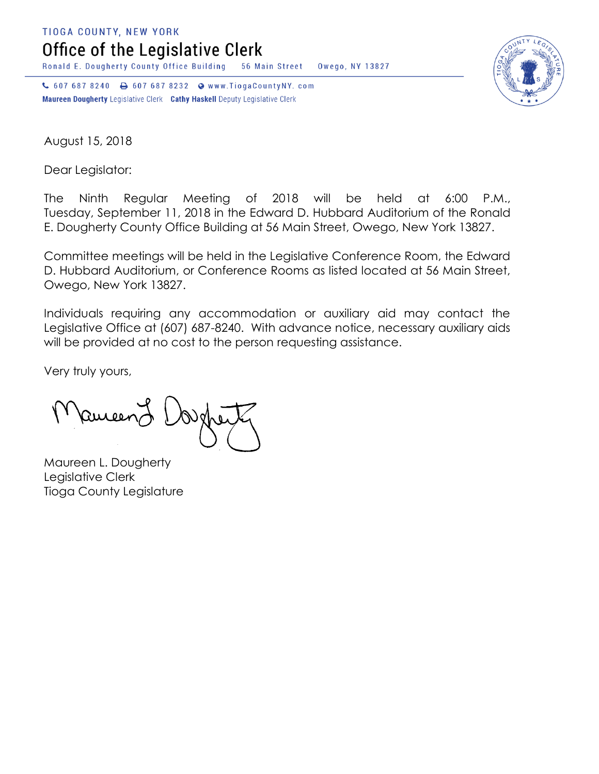**TIOGA COUNTY, NEW YORK** 

Office of the Legislative Clerk

Ronald E. Dougherty County Office Building 56 Main Street Owego, NY 13827

↓ 607 687 8240 → 607 687 8232 → www.TiogaCountyNY.com Maureen Dougherty Legislative Clerk Cathy Haskell Deputy Legislative Clerk



August 15, 2018

Dear Legislator:

The Ninth Regular Meeting of 2018 will be held at 6:00 P.M., Tuesday, September 11, 2018 in the Edward D. Hubbard Auditorium of the Ronald E. Dougherty County Office Building at 56 Main Street, Owego, New York 13827.

Committee meetings will be held in the Legislative Conference Room, the Edward D. Hubbard Auditorium, or Conference Rooms as listed located at 56 Main Street, Owego, New York 13827.

Individuals requiring any accommodation or auxiliary aid may contact the Legislative Office at (607) 687-8240. With advance notice, necessary auxiliary aids will be provided at no cost to the person requesting assistance.

Very truly yours,

Ruceen

Maureen L. Dougherty Legislative Clerk Tioga County Legislature